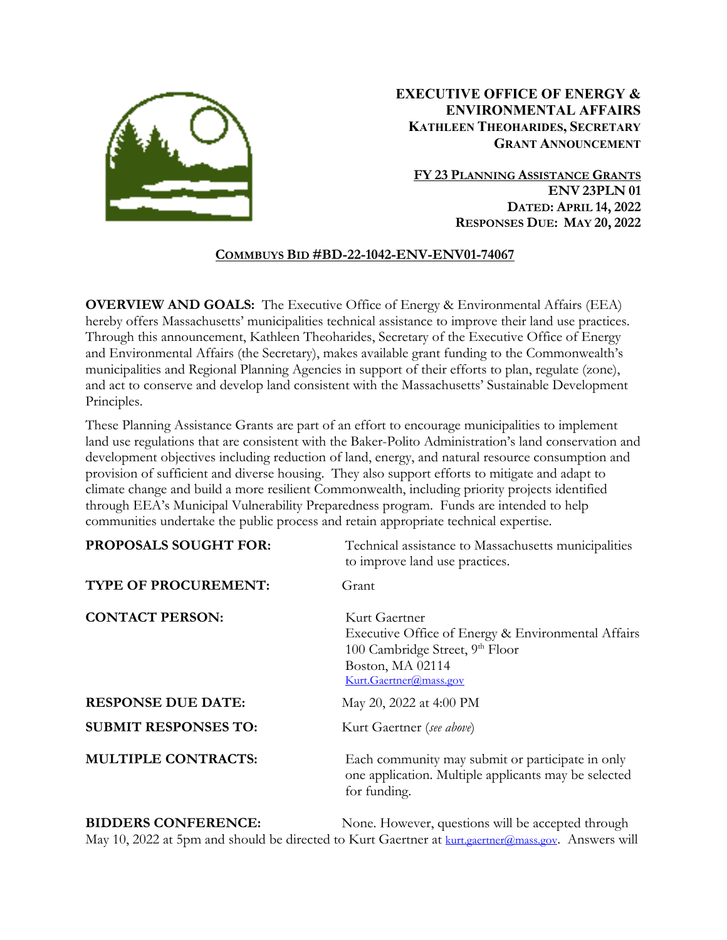

# **EXECUTIVE OFFICE OF ENERGY & ENVIRONMENTAL AFFAIRS KATHLEEN THEOHARIDES, SECRETARY GRANT ANNOUNCEMENT**

**FY 23 PLANNING ASSISTANCE GRANTS ENV 23PLN 01 DATED: APRIL 14, 2022 RESPONSES DUE: MAY 20, 2022**

## **COMMBUYS BID #BD-22-1042-ENV-ENV01-74067**

**OVERVIEW AND GOALS:** The Executive Office of Energy & Environmental Affairs (EEA) hereby offers Massachusetts' municipalities technical assistance to improve their land use practices. Through this announcement, Kathleen Theoharides, Secretary of the Executive Office of Energy and Environmental Affairs (the Secretary), makes available grant funding to the Commonwealth's municipalities and Regional Planning Agencies in support of their efforts to plan, regulate (zone), and act to conserve and develop land consistent with the Massachusetts' Sustainable Development Principles.

These Planning Assistance Grants are part of an effort to encourage municipalities to implement land use regulations that are consistent with the Baker-Polito Administration's land conservation and development objectives including reduction of land, energy, and natural resource consumption and provision of sufficient and diverse housing. They also support efforts to mitigate and adapt to climate change and build a more resilient Commonwealth, including priority projects identified through EEA's Municipal Vulnerability Preparedness program. Funds are intended to help communities undertake the public process and retain appropriate technical expertise.

| <b>PROPOSALS SOUGHT FOR:</b> | Technical assistance to Massachusetts municipalities<br>to improve land use practices.                                                                           |
|------------------------------|------------------------------------------------------------------------------------------------------------------------------------------------------------------|
| TYPE OF PROCUREMENT:         | Grant                                                                                                                                                            |
| <b>CONTACT PERSON:</b>       | Kurt Gaertner<br>Executive Office of Energy & Environmental Affairs<br>100 Cambridge Street, 9 <sup>th</sup> Floor<br>Boston, MA 02114<br>Kurt.Gaertner@mass.gov |
| <b>RESPONSE DUE DATE:</b>    | May 20, 2022 at 4:00 PM                                                                                                                                          |
| <b>SUBMIT RESPONSES TO:</b>  | Kurt Gaertner (see above)                                                                                                                                        |
| <b>MULTIPLE CONTRACTS:</b>   | Each community may submit or participate in only<br>one application. Multiple applicants may be selected<br>for funding.                                         |

**BIDDERS CONFERENCE:** None. However, questions will be accepted through May 10, 2022 at 5pm and should be directed to Kurt Gaertner at [kurt.gaertner@mass.gov.](mailto:kurt.gaertner@mass.gov) Answers will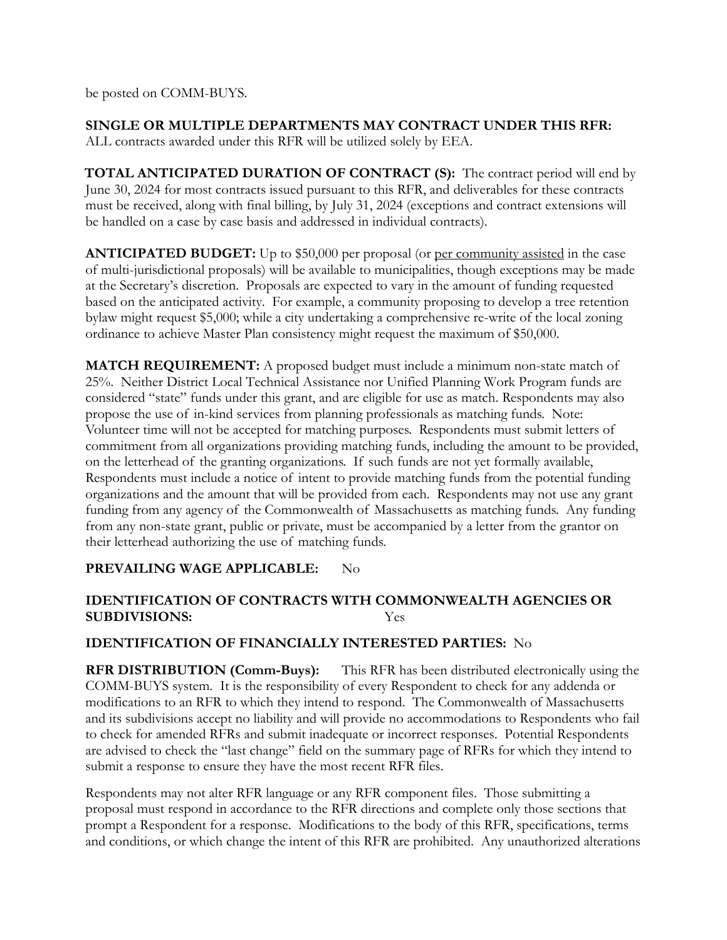be posted on COMM-BUYS.

**SINGLE OR MULTIPLE DEPARTMENTS MAY CONTRACT UNDER THIS RFR:**  ALL contracts awarded under this RFR will be utilized solely by EEA.

**TOTAL ANTICIPATED DURATION OF CONTRACT (S):** The contract period will end by June 30, 2024 for most contracts issued pursuant to this RFR, and deliverables for these contracts must be received, along with final billing, by July 31, 2024 (exceptions and contract extensions will be handled on a case by case basis and addressed in individual contracts).

**ANTICIPATED BUDGET:** Up to \$50,000 per proposal (or per community assisted in the case of multi-jurisdictional proposals) will be available to municipalities, though exceptions may be made at the Secretary's discretion. Proposals are expected to vary in the amount of funding requested based on the anticipated activity. For example, a community proposing to develop a tree retention bylaw might request \$5,000; while a city undertaking a comprehensive re-write of the local zoning ordinance to achieve Master Plan consistency might request the maximum of \$50,000.

**MATCH REQUIREMENT:** A proposed budget must include a minimum non-state match of 25%. Neither District Local Technical Assistance nor Unified Planning Work Program funds are considered "state" funds under this grant, and are eligible for use as match. Respondents may also propose the use of in-kind services from planning professionals as matching funds. Note: Volunteer time will not be accepted for matching purposes. Respondents must submit letters of commitment from all organizations providing matching funds, including the amount to be provided, on the letterhead of the granting organizations. If such funds are not yet formally available, Respondents must include a notice of intent to provide matching funds from the potential funding organizations and the amount that will be provided from each. Respondents may not use any grant funding from any agency of the Commonwealth of Massachusetts as matching funds. Any funding from any non-state grant, public or private, must be accompanied by a letter from the grantor on their letterhead authorizing the use of matching funds.

# **PREVAILING WAGE APPLICABLE:** No

# **IDENTIFICATION OF CONTRACTS WITH COMMONWEALTH AGENCIES OR SUBDIVISIONS:** Yes

# **IDENTIFICATION OF FINANCIALLY INTERESTED PARTIES:** No

**RFR DISTRIBUTION (Comm-Buys):** This RFR has been distributed electronically using the COMM-BUYS system. It is the responsibility of every Respondent to check for any addenda or modifications to an RFR to which they intend to respond. The Commonwealth of Massachusetts and its subdivisions accept no liability and will provide no accommodations to Respondents who fail to check for amended RFRs and submit inadequate or incorrect responses. Potential Respondents are advised to check the "last change" field on the summary page of RFRs for which they intend to submit a response to ensure they have the most recent RFR files.

Respondents may not alter RFR language or any RFR component files. Those submitting a proposal must respond in accordance to the RFR directions and complete only those sections that prompt a Respondent for a response. Modifications to the body of this RFR, specifications, terms and conditions, or which change the intent of this RFR are prohibited. Any unauthorized alterations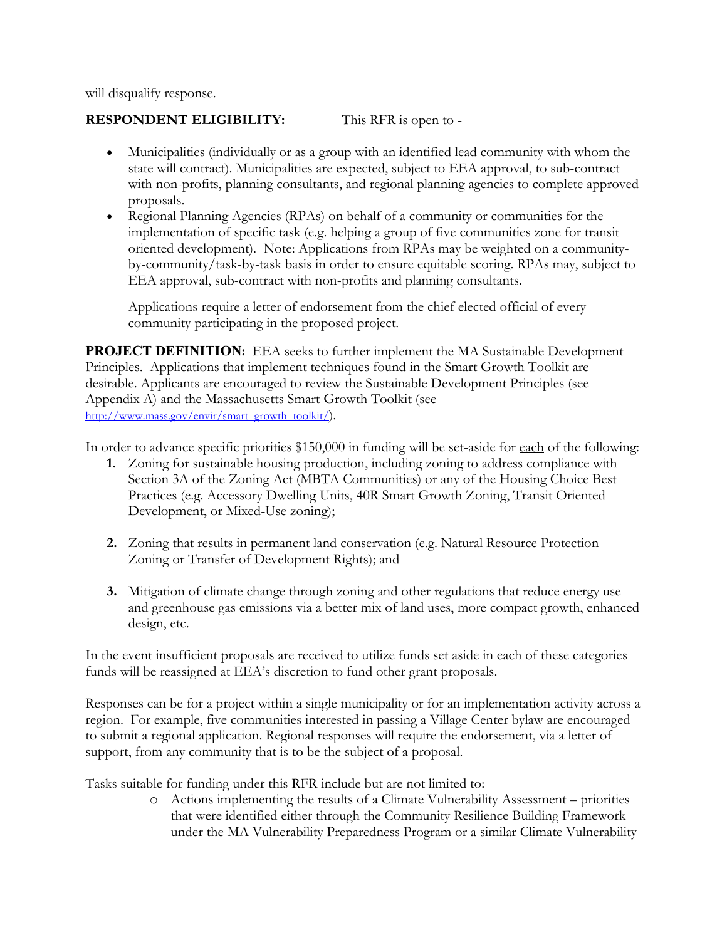will disqualify response.

# **RESPONDENT ELIGIBILITY:** This RFR is open to -

- Municipalities (individually or as a group with an identified lead community with whom the state will contract). Municipalities are expected, subject to EEA approval, to sub-contract with non-profits, planning consultants, and regional planning agencies to complete approved proposals.
- Regional Planning Agencies (RPAs) on behalf of a community or communities for the implementation of specific task (e.g. helping a group of five communities zone for transit oriented development). Note: Applications from RPAs may be weighted on a communityby-community/task-by-task basis in order to ensure equitable scoring. RPAs may, subject to EEA approval, sub-contract with non-profits and planning consultants.

Applications require a letter of endorsement from the chief elected official of every community participating in the proposed project.

**PROJECT DEFINITION:** EEA seeks to further implement the MA Sustainable Development Principles. Applications that implement techniques found in the Smart Growth Toolkit are desirable. Applicants are encouraged to review the Sustainable Development Principles (see Appendix A) and the Massachusetts Smart Growth Toolkit (see [http://www.mass.gov/envir/smart\\_growth\\_toolkit/\)](http://www.mass.gov/envir/smart_growth_toolkit/).

In order to advance specific priorities \$150,000 in funding will be set-aside for each of the following:

- **1.** Zoning for sustainable housing production, including zoning to address compliance with Section 3A of the Zoning Act (MBTA Communities) or any of the Housing Choice Best Practices (e.g. Accessory Dwelling Units, 40R Smart Growth Zoning, Transit Oriented Development, or Mixed-Use zoning);
- **2.** Zoning that results in permanent land conservation (e.g. Natural Resource Protection Zoning or Transfer of Development Rights); and
- **3.** Mitigation of climate change through zoning and other regulations that reduce energy use and greenhouse gas emissions via a better mix of land uses, more compact growth, enhanced design, etc.

In the event insufficient proposals are received to utilize funds set aside in each of these categories funds will be reassigned at EEA's discretion to fund other grant proposals.

Responses can be for a project within a single municipality or for an implementation activity across a region. For example, five communities interested in passing a Village Center bylaw are encouraged to submit a regional application. Regional responses will require the endorsement, via a letter of support, from any community that is to be the subject of a proposal.

Tasks suitable for funding under this RFR include but are not limited to:

o Actions implementing the results of a Climate Vulnerability Assessment – priorities that were identified either through the Community Resilience Building Framework under the MA Vulnerability Preparedness Program or a similar Climate Vulnerability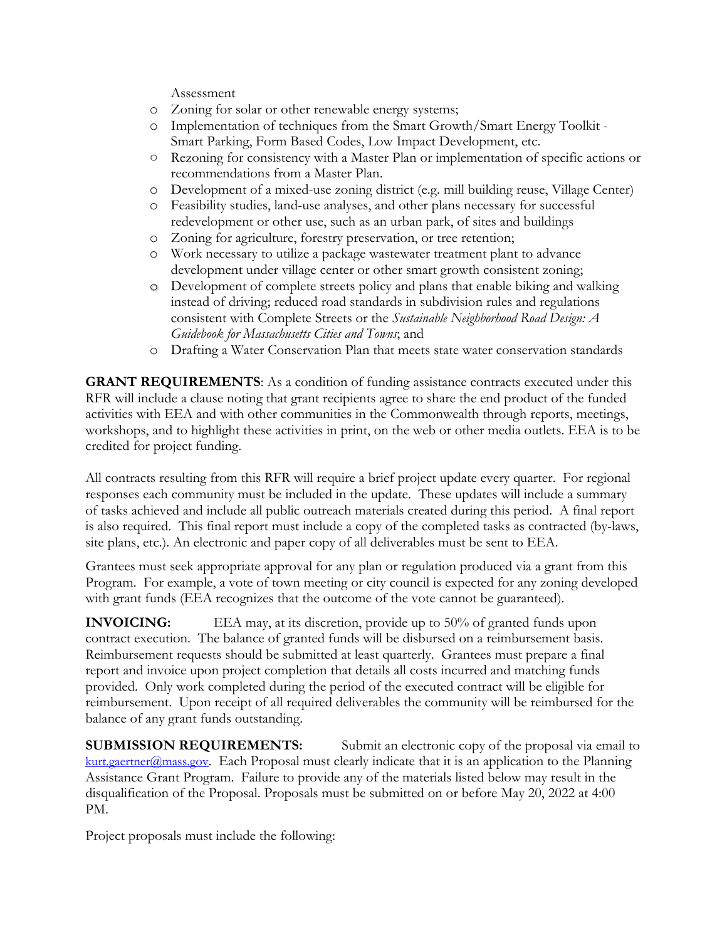Assessment

- o Zoning for solar or other renewable energy systems;
- o Implementation of techniques from the Smart Growth/Smart Energy Toolkit Smart Parking, Form Based Codes, Low Impact Development, etc.
- Rezoning for consistency with a Master Plan or implementation of specific actions or recommendations from a Master Plan.
- o Development of a mixed-use zoning district (e.g. mill building reuse, Village Center)
- o Feasibility studies, land-use analyses, and other plans necessary for successful redevelopment or other use, such as an urban park, of sites and buildings
- o Zoning for agriculture, forestry preservation, or tree retention;
- o Work necessary to utilize a package wastewater treatment plant to advance development under village center or other smart growth consistent zoning;
- o Development of complete streets policy and plans that enable biking and walking instead of driving; reduced road standards in subdivision rules and regulations consistent with Complete Streets or the *Sustainable Neighborhood Road Design: A Guidebook for Massachusetts Cities and Towns*; and
- o Drafting a Water Conservation Plan that meets state water conservation standards

**GRANT REQUIREMENTS:** As a condition of funding assistance contracts executed under this RFR will include a clause noting that grant recipients agree to share the end product of the funded activities with EEA and with other communities in the Commonwealth through reports, meetings, workshops, and to highlight these activities in print, on the web or other media outlets. EEA is to be credited for project funding.

All contracts resulting from this RFR will require a brief project update every quarter. For regional responses each community must be included in the update. These updates will include a summary of tasks achieved and include all public outreach materials created during this period. A final report is also required. This final report must include a copy of the completed tasks as contracted (by-laws, site plans, etc.). An electronic and paper copy of all deliverables must be sent to EEA.

Grantees must seek appropriate approval for any plan or regulation produced via a grant from this Program. For example, a vote of town meeting or city council is expected for any zoning developed with grant funds (EEA recognizes that the outcome of the vote cannot be guaranteed).

**INVOICING:** EEA may, at its discretion, provide up to 50% of granted funds upon contract execution. The balance of granted funds will be disbursed on a reimbursement basis. Reimbursement requests should be submitted at least quarterly. Grantees must prepare a final report and invoice upon project completion that details all costs incurred and matching funds provided. Only work completed during the period of the executed contract will be eligible for reimbursement. Upon receipt of all required deliverables the community will be reimbursed for the balance of any grant funds outstanding.

**SUBMISSION REQUIREMENTS:** Submit an electronic copy of the proposal via email to [kurt.gaertner@mass.gov.](mailto:kurt.gaertner@mass.gov) Each Proposal must clearly indicate that it is an application to the Planning Assistance Grant Program. Failure to provide any of the materials listed below may result in the disqualification of the Proposal. Proposals must be submitted on or before May 20, 2022 at 4:00 PM.

Project proposals must include the following: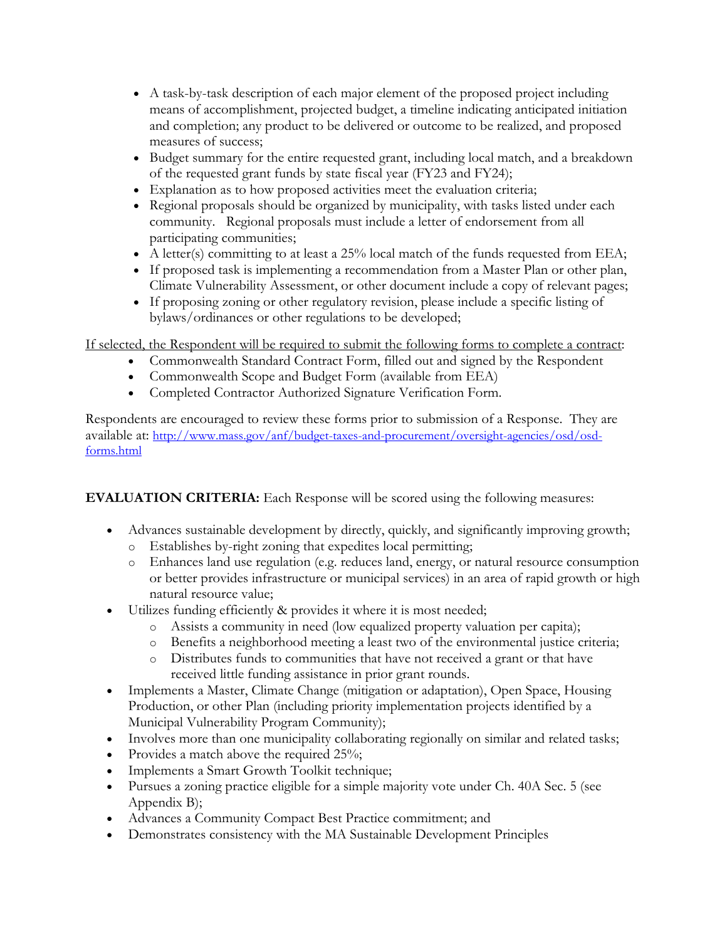- A task-by-task description of each major element of the proposed project including means of accomplishment, projected budget, a timeline indicating anticipated initiation and completion; any product to be delivered or outcome to be realized, and proposed measures of success;
- Budget summary for the entire requested grant, including local match, and a breakdown of the requested grant funds by state fiscal year (FY23 and FY24);
- Explanation as to how proposed activities meet the evaluation criteria;
- Regional proposals should be organized by municipality, with tasks listed under each community. Regional proposals must include a letter of endorsement from all participating communities;
- A letter(s) committing to at least a 25% local match of the funds requested from EEA;
- If proposed task is implementing a recommendation from a Master Plan or other plan, Climate Vulnerability Assessment, or other document include a copy of relevant pages;
- If proposing zoning or other regulatory revision, please include a specific listing of bylaws/ordinances or other regulations to be developed;

If selected, the Respondent will be required to submit the following forms to complete a contract:

- Commonwealth Standard Contract Form, filled out and signed by the Respondent
- Commonwealth Scope and Budget Form (available from EEA)
- Completed Contractor Authorized Signature Verification Form.

Respondents are encouraged to review these forms prior to submission of a Response. They are available at: [http://www.mass.gov/anf/budget-taxes-and-procurement/oversight-agencies/osd/osd](http://www.mass.gov/anf/budget-taxes-and-procurement/oversight-agencies/osd/osd-forms.html)[forms.html](http://www.mass.gov/anf/budget-taxes-and-procurement/oversight-agencies/osd/osd-forms.html)

# **EVALUATION CRITERIA:** Each Response will be scored using the following measures:

- Advances sustainable development by directly, quickly, and significantly improving growth;
	- o Establishes by-right zoning that expedites local permitting;
	- o Enhances land use regulation (e.g. reduces land, energy, or natural resource consumption or better provides infrastructure or municipal services) in an area of rapid growth or high natural resource value;
- Utilizes funding efficiently & provides it where it is most needed;
	- o Assists a community in need (low equalized property valuation per capita);
	- o Benefits a neighborhood meeting a least two of the environmental justice criteria;
	- o Distributes funds to communities that have not received a grant or that have received little funding assistance in prior grant rounds.
- Implements a Master, Climate Change (mitigation or adaptation), Open Space, Housing Production, or other Plan (including priority implementation projects identified by a Municipal Vulnerability Program Community);
- Involves more than one municipality collaborating regionally on similar and related tasks;
- Provides a match above the required 25%;
- Implements a Smart Growth Toolkit technique;
- Pursues a zoning practice eligible for a simple majority vote under Ch. 40A Sec. 5 (see Appendix B);
- Advances a Community Compact Best Practice commitment; and
- Demonstrates consistency with the MA Sustainable Development Principles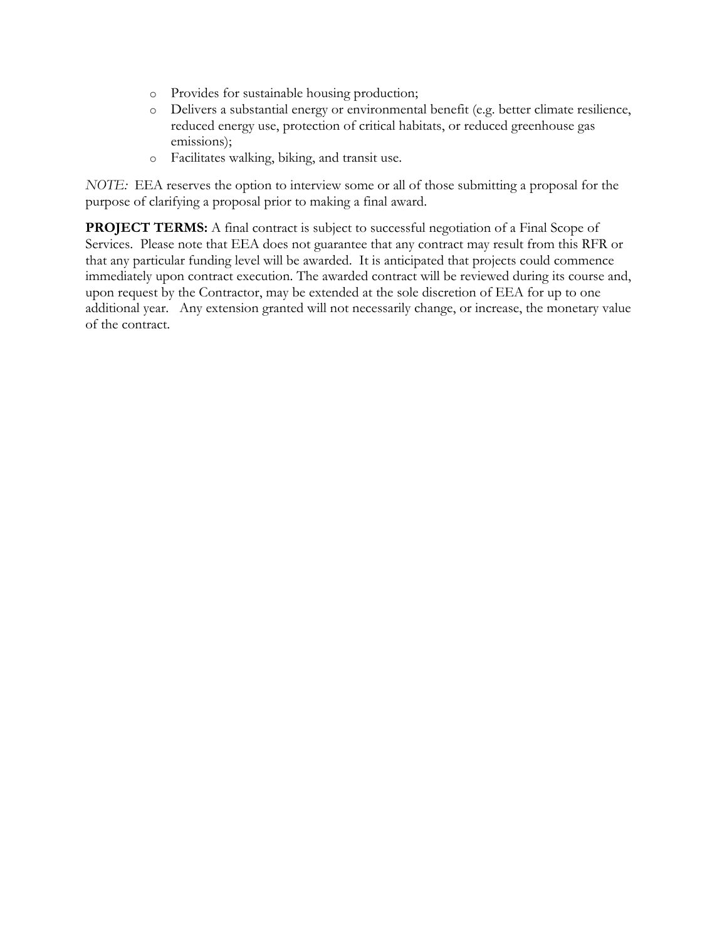- o Provides for sustainable housing production;
- o Delivers a substantial energy or environmental benefit (e.g. better climate resilience, reduced energy use, protection of critical habitats, or reduced greenhouse gas emissions);
- o Facilitates walking, biking, and transit use.

*NOTE:* EEA reserves the option to interview some or all of those submitting a proposal for the purpose of clarifying a proposal prior to making a final award.

**PROJECT TERMS:** A final contract is subject to successful negotiation of a Final Scope of Services. Please note that EEA does not guarantee that any contract may result from this RFR or that any particular funding level will be awarded. It is anticipated that projects could commence immediately upon contract execution. The awarded contract will be reviewed during its course and, upon request by the Contractor, may be extended at the sole discretion of EEA for up to one additional year. Any extension granted will not necessarily change, or increase, the monetary value of the contract.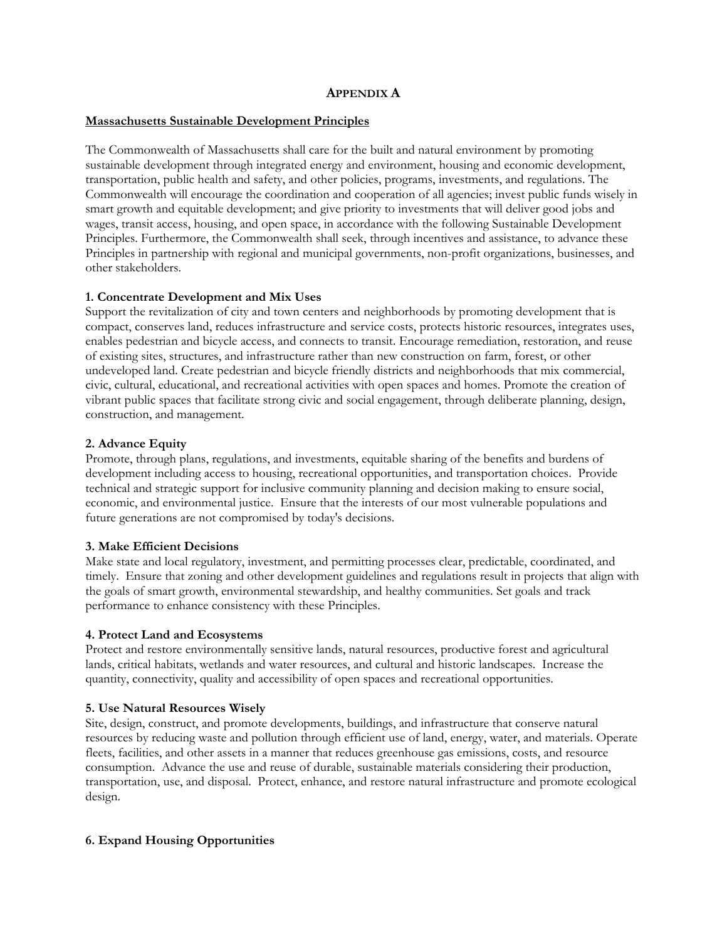#### **APPENDIX A**

#### **Massachusetts Sustainable Development Principles**

The Commonwealth of Massachusetts shall care for the built and natural environment by promoting sustainable development through integrated energy and environment, housing and economic development, transportation, public health and safety, and other policies, programs, investments, and regulations. The Commonwealth will encourage the coordination and cooperation of all agencies; invest public funds wisely in smart growth and equitable development; and give priority to investments that will deliver good jobs and wages, transit access, housing, and open space, in accordance with the following Sustainable Development Principles. Furthermore, the Commonwealth shall seek, through incentives and assistance, to advance these Principles in partnership with regional and municipal governments, non-profit organizations, businesses, and other stakeholders.

#### **1. Concentrate Development and Mix Uses**

Support the revitalization of city and town centers and neighborhoods by promoting development that is compact, conserves land, reduces infrastructure and service costs, protects historic resources, integrates uses, enables pedestrian and bicycle access, and connects to transit. Encourage remediation, restoration, and reuse of existing sites, structures, and infrastructure rather than new construction on farm, forest, or other undeveloped land. Create pedestrian and bicycle friendly districts and neighborhoods that mix commercial, civic, cultural, educational, and recreational activities with open spaces and homes. Promote the creation of vibrant public spaces that facilitate strong civic and social engagement, through deliberate planning, design, construction, and management.

#### **2. Advance Equity**

Promote, through plans, regulations, and investments, equitable sharing of the benefits and burdens of development including access to housing, recreational opportunities, and transportation choices. Provide technical and strategic support for inclusive community planning and decision making to ensure social, economic, and environmental justice. Ensure that the interests of our most vulnerable populations and future generations are not compromised by today's decisions.

#### **3. Make Efficient Decisions**

Make state and local regulatory, investment, and permitting processes clear, predictable, coordinated, and timely. Ensure that zoning and other development guidelines and regulations result in projects that align with the goals of smart growth, environmental stewardship, and healthy communities. Set goals and track performance to enhance consistency with these Principles.

#### **4. Protect Land and Ecosystems**

Protect and restore environmentally sensitive lands, natural resources, productive forest and agricultural lands, critical habitats, wetlands and water resources, and cultural and historic landscapes. Increase the quantity, connectivity, quality and accessibility of open spaces and recreational opportunities.

#### **5. Use Natural Resources Wisely**

Site, design, construct, and promote developments, buildings, and infrastructure that conserve natural resources by reducing waste and pollution through efficient use of land, energy, water, and materials. Operate fleets, facilities, and other assets in a manner that reduces greenhouse gas emissions, costs, and resource consumption. Advance the use and reuse of durable, sustainable materials considering their production, transportation, use, and disposal. Protect, enhance, and restore natural infrastructure and promote ecological design.

## **6. Expand Housing Opportunities**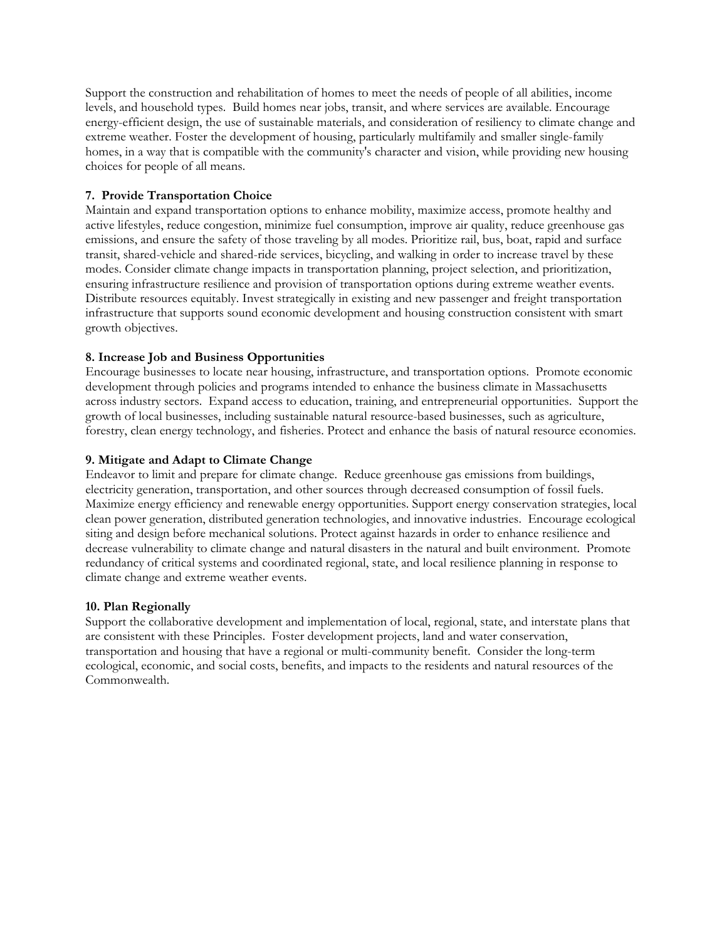Support the construction and rehabilitation of homes to meet the needs of people of all abilities, income levels, and household types. Build homes near jobs, transit, and where services are available. Encourage energy-efficient design, the use of sustainable materials, and consideration of resiliency to climate change and extreme weather. Foster the development of housing, particularly multifamily and smaller single-family homes, in a way that is compatible with the community's character and vision, while providing new housing choices for people of all means.

## **7. Provide Transportation Choice**

Maintain and expand transportation options to enhance mobility, maximize access, promote healthy and active lifestyles, reduce congestion, minimize fuel consumption, improve air quality, reduce greenhouse gas emissions, and ensure the safety of those traveling by all modes. Prioritize rail, bus, boat, rapid and surface transit, shared-vehicle and shared-ride services, bicycling, and walking in order to increase travel by these modes. Consider climate change impacts in transportation planning, project selection, and prioritization, ensuring infrastructure resilience and provision of transportation options during extreme weather events. Distribute resources equitably. Invest strategically in existing and new passenger and freight transportation infrastructure that supports sound economic development and housing construction consistent with smart growth objectives.

## **8. Increase Job and Business Opportunities**

Encourage businesses to locate near housing, infrastructure, and transportation options. Promote economic development through policies and programs intended to enhance the business climate in Massachusetts across industry sectors. Expand access to education, training, and entrepreneurial opportunities. Support the growth of local businesses, including sustainable natural resource-based businesses, such as agriculture, forestry, clean energy technology, and fisheries. Protect and enhance the basis of natural resource economies.

## **9. Mitigate and Adapt to Climate Change**

Endeavor to limit and prepare for climate change. Reduce greenhouse gas emissions from buildings, electricity generation, transportation, and other sources through decreased consumption of fossil fuels. Maximize energy efficiency and renewable energy opportunities. Support energy conservation strategies, local clean power generation, distributed generation technologies, and innovative industries. Encourage ecological siting and design before mechanical solutions. Protect against hazards in order to enhance resilience and decrease vulnerability to climate change and natural disasters in the natural and built environment. Promote redundancy of critical systems and coordinated regional, state, and local resilience planning in response to climate change and extreme weather events.

## **10. Plan Regionally**

Support the collaborative development and implementation of local, regional, state, and interstate plans that are consistent with these Principles. Foster development projects, land and water conservation, transportation and housing that have a regional or multi-community benefit. Consider the long-term ecological, economic, and social costs, benefits, and impacts to the residents and natural resources of the Commonwealth.